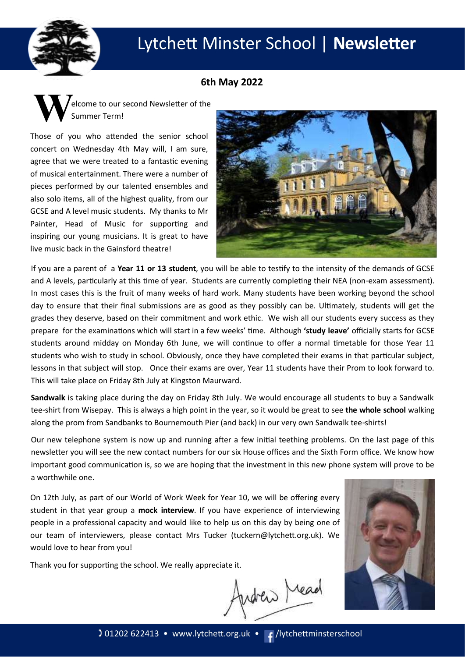

# Lytchett Minster School | **Newsletter**

## **6th May 2022**



Those of you who attended the senior school concert on Wednesday 4th May will, I am sure, agree that we were treated to a fantastic evening of musical entertainment. There were a number of pieces performed by our talented ensembles and also solo items, all of the highest quality, from our GCSE and A level music students. My thanks to Mr Painter, Head of Music for supporting and inspiring our young musicians. It is great to have live music back in the Gainsford theatre!



If you are a parent of a **Year 11 or 13 student**, you will be able to testify to the intensity of the demands of GCSE and A levels, particularly at this time of year. Students are currently completing their NEA (non-exam assessment). In most cases this is the fruit of many weeks of hard work. Many students have been working beyond the school day to ensure that their final submissions are as good as they possibly can be. Ultimately, students will get the grades they deserve, based on their commitment and work ethic. We wish all our students every success as they prepare for the examinations which will start in a few weeks' time. Although **'study leave'** officially starts for GCSE students around midday on Monday 6th June, we will continue to offer a normal timetable for those Year 11 students who wish to study in school. Obviously, once they have completed their exams in that particular subject, lessons in that subject will stop. Once their exams are over, Year 11 students have their Prom to look forward to. This will take place on Friday 8th July at Kingston Maurward.

**Sandwalk** is taking place during the day on Friday 8th July. We would encourage all students to buy a Sandwalk tee-shirt from Wisepay. This is always a high point in the year, so it would be great to see **the whole school** walking along the prom from Sandbanks to Bournemouth Pier (and back) in our very own Sandwalk tee-shirts!

Our new telephone system is now up and running after a few initial teething problems. On the last page of this newsletter you will see the new contact numbers for our six House offices and the Sixth Form office. We know how important good communication is, so we are hoping that the investment in this new phone system will prove to be a worthwhile one.

On 12th July, as part of our World of Work Week for Year 10, we will be offering every student in that year group a **mock interview**. If you have experience of interviewing people in a professional capacity and would like to help us on this day by being one of our team of interviewers, please contact Mrs Tucker (tuckern@lytchett.org.uk). We would love to hear from you!

Thank you for supporting the school. We really appreciate it.

Andrew Mead

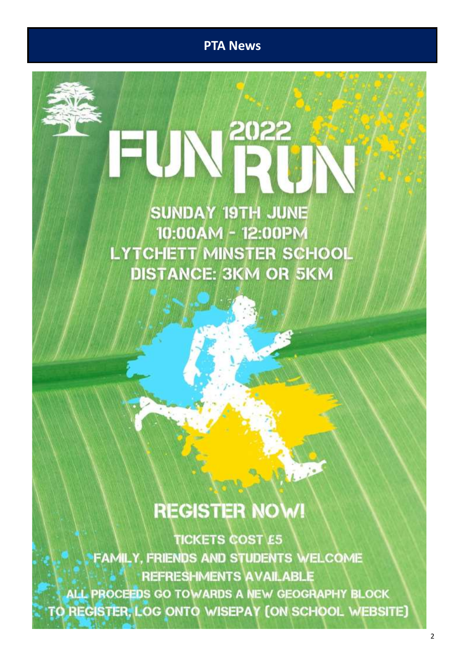**PTA News**

2022

**SUNDAY 19TH JUNE** 10:00AM - 12:00PM **LYTCHETT MINSTER SCHOOL DISTANCE: 3KM OR 5KM** 

# **REGISTER NOW!**

**TICKETS COST E5 FAMILY. FRIENDS AND STUDENTS WELCOME REFRESHMENTS AVAILABLE** ALL PROCEEDS GO TOWARDS A NEW GEOGRAPHY BLOCK TO REGISTER, LOG ONTO WISEPAY (ON SCHOOL WEBSITE)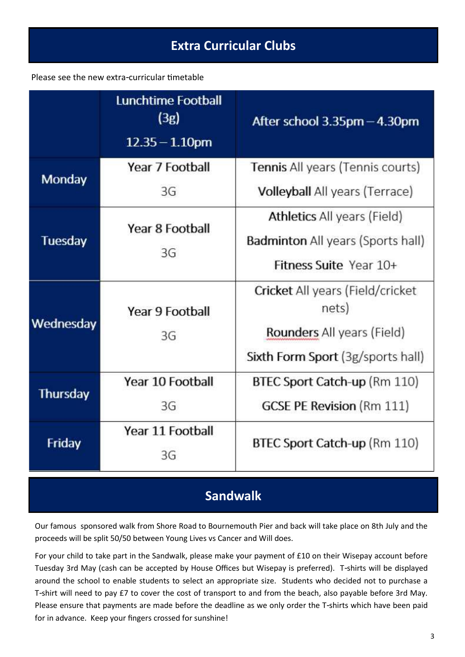### Please see the new extra-curricular timetable

|                 | Lunchtime Football<br>(3g)<br>$12.35 - 1.10$ pm | After school $3.35$ pm $-4.30$ pm         |
|-----------------|-------------------------------------------------|-------------------------------------------|
| Monday          | Year 7 Football                                 | <b>Tennis All years (Tennis courts)</b>   |
|                 | 3G                                              | <b>Volleyball</b> All years (Terrace)     |
| <b>Tuesday</b>  | Year 8 Football<br>3G                           | <b>Athletics All years (Field)</b>        |
|                 |                                                 | <b>Badminton</b> All years (Sports hall)  |
|                 |                                                 | Fitness Suite Year 10+                    |
| Wednesday       | Year 9 Football<br>3G                           | Cricket All years (Field/cricket<br>nets) |
|                 |                                                 | Rounders All years (Field)                |
|                 |                                                 | Sixth Form Sport (3g/sports hall)         |
| <b>Thursday</b> | Year 10 Football                                | BTEC Sport Catch-up (Rm 110)              |
|                 | 3G                                              | <b>GCSE PE Revision (Rm 111)</b>          |
| Friday          | Year 11 Football<br>3G                          | BTEC Sport Catch-up (Rm 110)              |
|                 |                                                 |                                           |

# **Sandwalk**

Our famous sponsored walk from Shore Road to Bournemouth Pier and back will take place on 8th July and the proceeds will be split 50/50 between Young Lives vs Cancer and Will does.

For your child to take part in the Sandwalk, please make your payment of £10 on their Wisepay account before Tuesday 3rd May (cash can be accepted by House Offices but Wisepay is preferred). T-shirts will be displayed around the school to enable students to select an appropriate size. Students who decided not to purchase a T-shirt will need to pay £7 to cover the cost of transport to and from the beach, also payable before 3rd May. Please ensure that payments are made before the deadline as we only order the T-shirts which have been paid for in advance. Keep your fingers crossed for sunshine!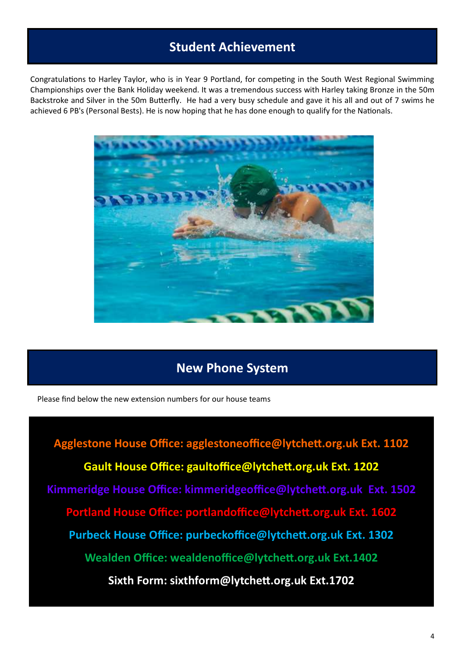## **Student Achievement**

Congratulations to Harley Taylor, who is in Year 9 Portland, for competing in the South West Regional Swimming Championships over the Bank Holiday weekend. It was a tremendous success with Harley taking Bronze in the 50m Backstroke and Silver in the 50m Butterfly. He had a very busy schedule and gave it his all and out of 7 swims he achieved 6 PB's (Personal Bests). He is now hoping that he has done enough to qualify for the Nationals.



## **New Phone System**

Please find below the new extension numbers for our house teams

**Agglestone House Office: agglestoneoffice@lytchett.org.uk Ext. 1102 Gault House Office: gaultoffice@lytchett.org.uk Ext. 1202 Kimmeridge House Office: kimmeridgeoffice@lytchett.org.uk Ext. 1502 Portland House Office: portlandoffice@lytchett.org.uk Ext. 1602 Purbeck House Office: purbeckoffice@lytchett.org.uk Ext. 1302 Wealden Office: wealdenoffice@lytchett.org.uk Ext.1402 Sixth Form: sixthform@lytchett.org.uk Ext.1702**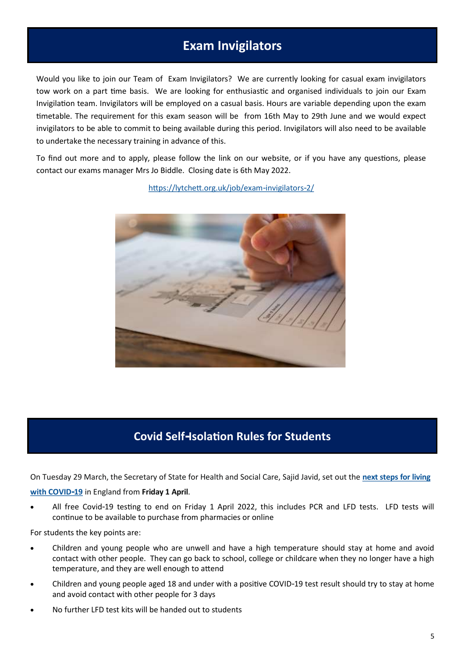## **Exam Invigilators**

<span id="page-4-0"></span>Would you like to join our Team of Exam Invigilators? We are currently looking for casual exam invigilators tow work on a part time basis. We are looking for enthusiastic and organised individuals to join our Exam Invigilation team. Invigilators will be employed on a casual basis. Hours are variable depending upon the exam timetable. The requirement for this exam season will be from 16th May to 29th June and we would expect invigilators to be able to commit to being available during this period. Invigilators will also need to be available to undertake the necessary training in advance of this.

To find out more and to apply, please follow the link on our website, or if you have any questions, please contact our exams manager Mrs Jo Biddle. Closing date is 6th May 2022.

[https://lytchett.org.uk/job/exam](#page-4-0)-invigilators-2/

## **Covid Self-Isolation Rules for Students**

On Tuesday 29 March, the Secretary of State for Health and Social Care, Sajid Javid, set out the **[next steps for living](https://www.gov.uk/government/news/government-sets-out-next-steps-for-living-with-covid?utm_source=31%20March%202022%20C19&utm_medium=Daily%20Email%20C19&utm_campaign=DfE%20C19)  [with COVID](https://www.gov.uk/government/news/government-sets-out-next-steps-for-living-with-covid?utm_source=31%20March%202022%20C19&utm_medium=Daily%20Email%20C19&utm_campaign=DfE%20C19)-19** in England from **Friday 1 April**.

 All free Covid-19 testing to end on Friday 1 April 2022, this includes PCR and LFD tests. LFD tests will continue to be available to purchase from pharmacies or online

For students the key points are:

- Children and young people who are unwell and have a high temperature should stay at home and avoid contact with other people. They can go back to school, college or childcare when they no longer have a high temperature, and they are well enough to attend
- Children and young people aged 18 and under with a positive COVID-19 test result should try to stay at home and avoid contact with other people for 3 days
- No further LFD test kits will be handed out to students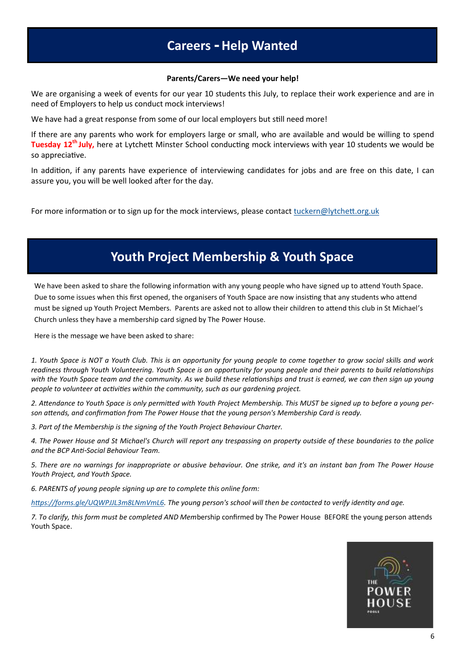## **Careers - Help Wanted**

#### **Parents/Carers—We need your help!**

<span id="page-5-0"></span>We are organising a week of events for our year 10 students this July, to replace their work experience and are in need of Employers to help us conduct mock interviews!

We have had a great response from some of our local employers but still need more!

If there are any parents who work for employers large or small, who are available and would be willing to spend **Tuesday 12th July,** here at Lytchett Minster School conducting mock interviews with year 10 students we would be so appreciative.

In addition, if any parents have experience of interviewing candidates for jobs and are free on this date, I can assure you, you will be well looked after for the day.

For more information or to sign up for the mock interviews, please contact [tuckern@lytchett.org.uk](mailto:tuckern@lytchett.org.uk)

# **Youth Project Membership & Youth Space**

We have been asked to share the following information with any young people who have signed up to attend Youth Space. Due to some issues when this first opened, the organisers of Youth Space are now insisting that any students who attend must be signed up Youth Project Members. Parents are asked not to allow their children to attend this club in St Michael's Church unless they have a membership card signed by The Power House.

Here is the message we have been asked to share:

*1. Youth Space is NOT a Youth Club. This is an opportunity for young people to come together to grow social skills and work readiness through Youth Volunteering. Youth Space is an opportunity for young people and their parents to build relationships with the Youth Space team and the community. As we build these relationships and trust is earned, we can then sign up young people to volunteer at activities within the community, such as our gardening project.*

*2. Attendance to Youth Space is only permitted with Youth Project Membership. This MUST be signed up to before a young person attends, and confirmation from The Power House that the young person's Membership Card is ready.*

*3. Part of the Membership is the signing of the Youth Project Behaviour Charter.*

*4. The Power House and St Michael's Church will report any trespassing on property outside of these boundaries to the police and the BCP Anti-Social Behaviour Team.*

*5. There are no warnings for inappropriate or abusive behaviour. One strike, and it's an instant ban from The Power House Youth Project, and Youth Space.*

*6. PARENTS of young people signing up are to complete this online form:*

*[https://forms.gle/UQWPJJL3m8LNmVmL6.](#page-5-0) The young person's school will then be contacted to verify identity and age.*

*7. To clarify, this form must be completed AND Mem*bership confirmed by The Power House BEFORE the young person attends Youth Space.

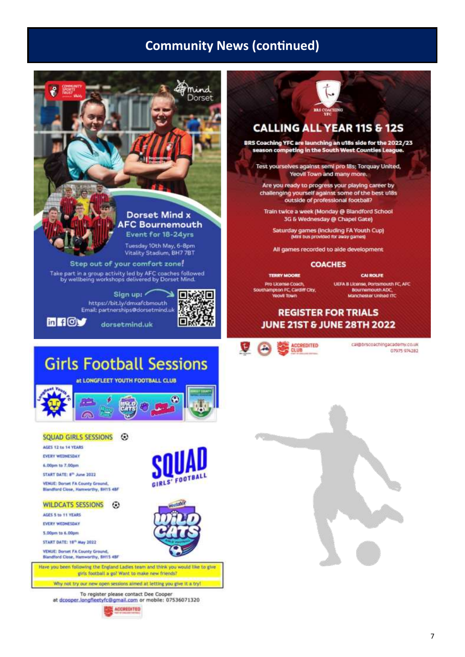## **Community News (continued)**



#### WILDCATS SESSIONS 3

AGES 5 to 11 YEARS

EVERY WEDNESDAY

5,00pm tp 6,00pm

START DATE: 18<sup>th</sup> May 2022

**VEHUE: Dorset FA County Ground** Blandford Close, Harnworthy, 8H15 4BF

Have you been following the England Ladies team and think you would like to give girls football a go? Want to make new friends?

Why not try our new open sessions aimed at letting you give it a tryl

To register please contact Dee Cooper at dcooper.longfleetyfc@gmail.com or mobile: 07536071320



# **CALLING ALL YEAR 11S & 12S**

BRS Coaching YFC are launching an u18s side for the 2022/23 season competing in the South West Counties League.

Test yourselves against semi pro 18s; Torquay United, Yeovil Town and many more.

Are you ready to progress your playing career by challenging yourself against some of the best ul8s<br>outside of professional football?

Train twice a week (Monday @ Blandford School 3G & Wednesday @ Chapel Gate)

Saturday games (Including FA Youth Cup)<br>(Mini bus provided for away games)

All games recorded to alde development

#### **COACHES**

**CAI ROLFE** UEFA B License, Portsmouth FC, AFC Bournemouth ADC,<br>Manchester United ITC

## **REGISTER FOR TRIALS JUNE 21ST & JUNE 28TH 2022**

cal@brscoachingacademy.co.uk 07975 974282